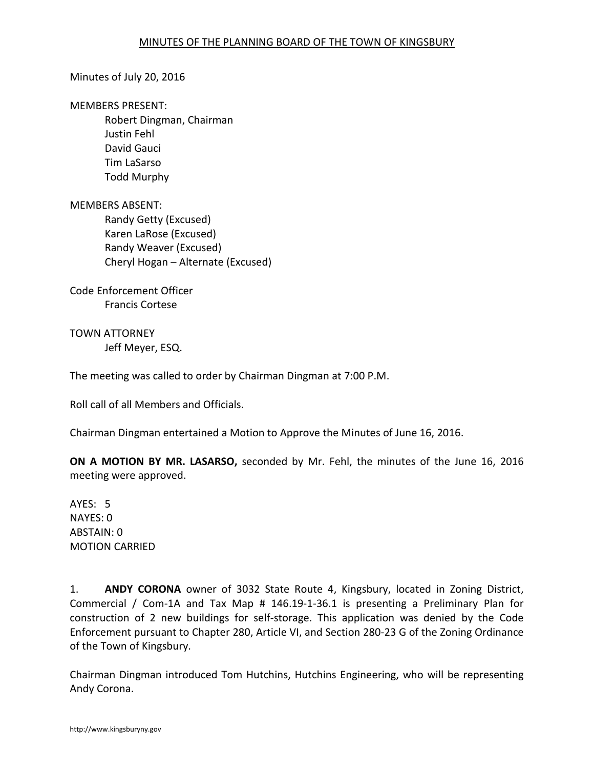### Minutes of July 20, 2016

#### MEMBERS PRESENT:

Robert Dingman, Chairman Justin Fehl David Gauci Tim LaSarso Todd Murphy

### MEMBERS ABSENT:

Randy Getty (Excused) Karen LaRose (Excused) Randy Weaver (Excused) Cheryl Hogan – Alternate (Excused)

Code Enforcement Officer Francis Cortese

TOWN ATTORNEY Jeff Meyer, ESQ.

The meeting was called to order by Chairman Dingman at 7:00 P.M.

Roll call of all Members and Officials.

Chairman Dingman entertained a Motion to Approve the Minutes of June 16, 2016.

**ON A MOTION BY MR. LASARSO,** seconded by Mr. Fehl, the minutes of the June 16, 2016 meeting were approved.

AYES: 5 NAYES: 0 ABSTAIN: 0 MOTION CARRIED

1. **ANDY CORONA** owner of 3032 State Route 4, Kingsbury, located in Zoning District, Commercial / Com-1A and Tax Map # 146.19-1-36.1 is presenting a Preliminary Plan for construction of 2 new buildings for self-storage. This application was denied by the Code Enforcement pursuant to Chapter 280, Article VI, and Section 280-23 G of the Zoning Ordinance of the Town of Kingsbury.

Chairman Dingman introduced Tom Hutchins, Hutchins Engineering, who will be representing Andy Corona.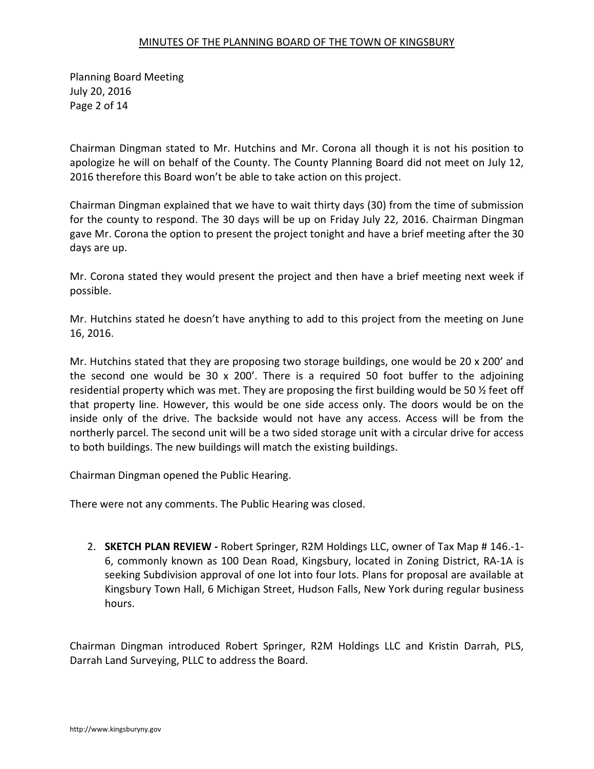Planning Board Meeting July 20, 2016 Page 2 of 14

Chairman Dingman stated to Mr. Hutchins and Mr. Corona all though it is not his position to apologize he will on behalf of the County. The County Planning Board did not meet on July 12, 2016 therefore this Board won't be able to take action on this project.

Chairman Dingman explained that we have to wait thirty days (30) from the time of submission for the county to respond. The 30 days will be up on Friday July 22, 2016. Chairman Dingman gave Mr. Corona the option to present the project tonight and have a brief meeting after the 30 days are up.

Mr. Corona stated they would present the project and then have a brief meeting next week if possible.

Mr. Hutchins stated he doesn't have anything to add to this project from the meeting on June 16, 2016.

Mr. Hutchins stated that they are proposing two storage buildings, one would be 20 x 200' and the second one would be 30 x 200'. There is a required 50 foot buffer to the adjoining residential property which was met. They are proposing the first building would be 50 ½ feet off that property line. However, this would be one side access only. The doors would be on the inside only of the drive. The backside would not have any access. Access will be from the northerly parcel. The second unit will be a two sided storage unit with a circular drive for access to both buildings. The new buildings will match the existing buildings.

Chairman Dingman opened the Public Hearing.

There were not any comments. The Public Hearing was closed.

2. **SKETCH PLAN REVIEW -** Robert Springer, R2M Holdings LLC, owner of Tax Map # 146.-1- 6, commonly known as 100 Dean Road, Kingsbury, located in Zoning District, RA-1A is seeking Subdivision approval of one lot into four lots. Plans for proposal are available at Kingsbury Town Hall, 6 Michigan Street, Hudson Falls, New York during regular business hours.

Chairman Dingman introduced Robert Springer, R2M Holdings LLC and Kristin Darrah, PLS, Darrah Land Surveying, PLLC to address the Board.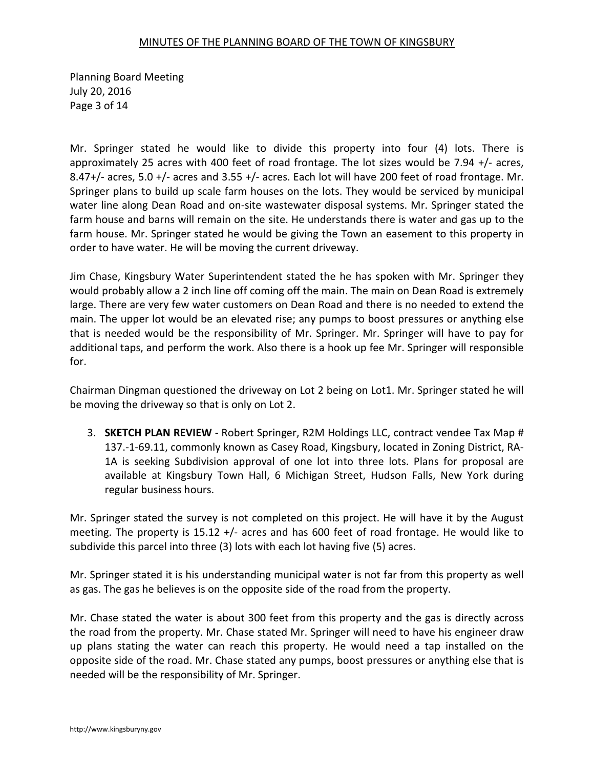Planning Board Meeting July 20, 2016 Page 3 of 14

Mr. Springer stated he would like to divide this property into four (4) lots. There is approximately 25 acres with 400 feet of road frontage. The lot sizes would be 7.94 +/- acres, 8.47+/- acres, 5.0 +/- acres and 3.55 +/- acres. Each lot will have 200 feet of road frontage. Mr. Springer plans to build up scale farm houses on the lots. They would be serviced by municipal water line along Dean Road and on-site wastewater disposal systems. Mr. Springer stated the farm house and barns will remain on the site. He understands there is water and gas up to the farm house. Mr. Springer stated he would be giving the Town an easement to this property in order to have water. He will be moving the current driveway.

Jim Chase, Kingsbury Water Superintendent stated the he has spoken with Mr. Springer they would probably allow a 2 inch line off coming off the main. The main on Dean Road is extremely large. There are very few water customers on Dean Road and there is no needed to extend the main. The upper lot would be an elevated rise; any pumps to boost pressures or anything else that is needed would be the responsibility of Mr. Springer. Mr. Springer will have to pay for additional taps, and perform the work. Also there is a hook up fee Mr. Springer will responsible for.

Chairman Dingman questioned the driveway on Lot 2 being on Lot1. Mr. Springer stated he will be moving the driveway so that is only on Lot 2.

3. **SKETCH PLAN REVIEW** - Robert Springer, R2M Holdings LLC, contract vendee Tax Map # 137.-1-69.11, commonly known as Casey Road, Kingsbury, located in Zoning District, RA-1A is seeking Subdivision approval of one lot into three lots. Plans for proposal are available at Kingsbury Town Hall, 6 Michigan Street, Hudson Falls, New York during regular business hours.

Mr. Springer stated the survey is not completed on this project. He will have it by the August meeting. The property is 15.12 +/- acres and has 600 feet of road frontage. He would like to subdivide this parcel into three (3) lots with each lot having five (5) acres.

Mr. Springer stated it is his understanding municipal water is not far from this property as well as gas. The gas he believes is on the opposite side of the road from the property.

Mr. Chase stated the water is about 300 feet from this property and the gas is directly across the road from the property. Mr. Chase stated Mr. Springer will need to have his engineer draw up plans stating the water can reach this property. He would need a tap installed on the opposite side of the road. Mr. Chase stated any pumps, boost pressures or anything else that is needed will be the responsibility of Mr. Springer.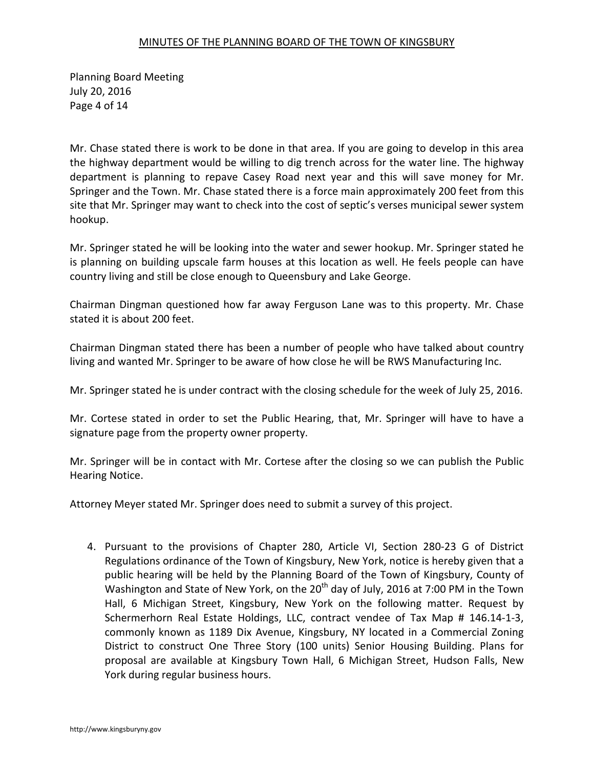Planning Board Meeting July 20, 2016 Page 4 of 14

Mr. Chase stated there is work to be done in that area. If you are going to develop in this area the highway department would be willing to dig trench across for the water line. The highway department is planning to repave Casey Road next year and this will save money for Mr. Springer and the Town. Mr. Chase stated there is a force main approximately 200 feet from this site that Mr. Springer may want to check into the cost of septic's verses municipal sewer system hookup.

Mr. Springer stated he will be looking into the water and sewer hookup. Mr. Springer stated he is planning on building upscale farm houses at this location as well. He feels people can have country living and still be close enough to Queensbury and Lake George.

Chairman Dingman questioned how far away Ferguson Lane was to this property. Mr. Chase stated it is about 200 feet.

Chairman Dingman stated there has been a number of people who have talked about country living and wanted Mr. Springer to be aware of how close he will be RWS Manufacturing Inc.

Mr. Springer stated he is under contract with the closing schedule for the week of July 25, 2016.

Mr. Cortese stated in order to set the Public Hearing, that, Mr. Springer will have to have a signature page from the property owner property.

Mr. Springer will be in contact with Mr. Cortese after the closing so we can publish the Public Hearing Notice.

Attorney Meyer stated Mr. Springer does need to submit a survey of this project.

4. Pursuant to the provisions of Chapter 280, Article VI, Section 280-23 G of District Regulations ordinance of the Town of Kingsbury, New York, notice is hereby given that a public hearing will be held by the Planning Board of the Town of Kingsbury, County of Washington and State of New York, on the  $20<sup>th</sup>$  day of July, 2016 at 7:00 PM in the Town Hall, 6 Michigan Street, Kingsbury, New York on the following matter. Request by Schermerhorn Real Estate Holdings, LLC, contract vendee of Tax Map # 146.14-1-3, commonly known as 1189 Dix Avenue, Kingsbury, NY located in a Commercial Zoning District to construct One Three Story (100 units) Senior Housing Building. Plans for proposal are available at Kingsbury Town Hall, 6 Michigan Street, Hudson Falls, New York during regular business hours.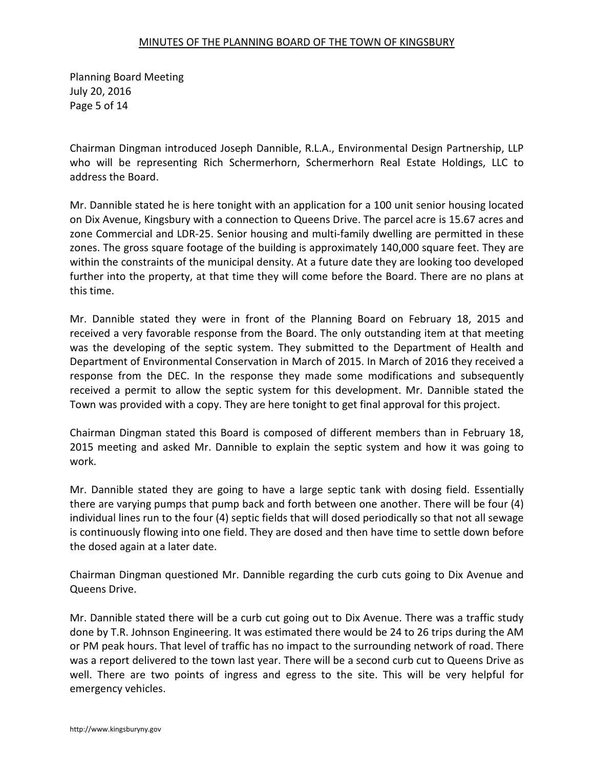Planning Board Meeting July 20, 2016 Page 5 of 14

Chairman Dingman introduced Joseph Dannible, R.L.A., Environmental Design Partnership, LLP who will be representing Rich Schermerhorn, Schermerhorn Real Estate Holdings, LLC to address the Board.

Mr. Dannible stated he is here tonight with an application for a 100 unit senior housing located on Dix Avenue, Kingsbury with a connection to Queens Drive. The parcel acre is 15.67 acres and zone Commercial and LDR-25. Senior housing and multi-family dwelling are permitted in these zones. The gross square footage of the building is approximately 140,000 square feet. They are within the constraints of the municipal density. At a future date they are looking too developed further into the property, at that time they will come before the Board. There are no plans at this time.

Mr. Dannible stated they were in front of the Planning Board on February 18, 2015 and received a very favorable response from the Board. The only outstanding item at that meeting was the developing of the septic system. They submitted to the Department of Health and Department of Environmental Conservation in March of 2015. In March of 2016 they received a response from the DEC. In the response they made some modifications and subsequently received a permit to allow the septic system for this development. Mr. Dannible stated the Town was provided with a copy. They are here tonight to get final approval for this project.

Chairman Dingman stated this Board is composed of different members than in February 18, 2015 meeting and asked Mr. Dannible to explain the septic system and how it was going to work.

Mr. Dannible stated they are going to have a large septic tank with dosing field. Essentially there are varying pumps that pump back and forth between one another. There will be four (4) individual lines run to the four (4) septic fields that will dosed periodically so that not all sewage is continuously flowing into one field. They are dosed and then have time to settle down before the dosed again at a later date.

Chairman Dingman questioned Mr. Dannible regarding the curb cuts going to Dix Avenue and Queens Drive.

Mr. Dannible stated there will be a curb cut going out to Dix Avenue. There was a traffic study done by T.R. Johnson Engineering. It was estimated there would be 24 to 26 trips during the AM or PM peak hours. That level of traffic has no impact to the surrounding network of road. There was a report delivered to the town last year. There will be a second curb cut to Queens Drive as well. There are two points of ingress and egress to the site. This will be very helpful for emergency vehicles.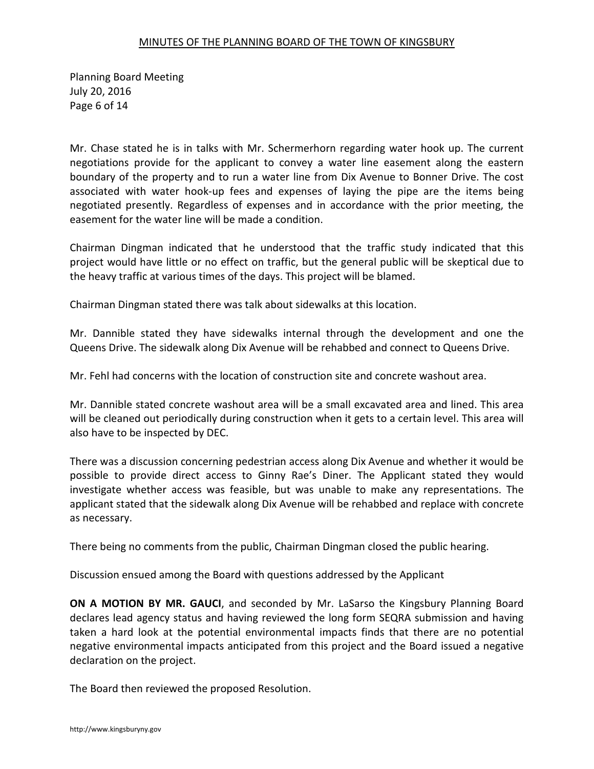Planning Board Meeting July 20, 2016 Page 6 of 14

Mr. Chase stated he is in talks with Mr. Schermerhorn regarding water hook up. The current negotiations provide for the applicant to convey a water line easement along the eastern boundary of the property and to run a water line from Dix Avenue to Bonner Drive. The cost associated with water hook-up fees and expenses of laying the pipe are the items being negotiated presently. Regardless of expenses and in accordance with the prior meeting, the easement for the water line will be made a condition.

Chairman Dingman indicated that he understood that the traffic study indicated that this project would have little or no effect on traffic, but the general public will be skeptical due to the heavy traffic at various times of the days. This project will be blamed.

Chairman Dingman stated there was talk about sidewalks at this location.

Mr. Dannible stated they have sidewalks internal through the development and one the Queens Drive. The sidewalk along Dix Avenue will be rehabbed and connect to Queens Drive.

Mr. Fehl had concerns with the location of construction site and concrete washout area.

Mr. Dannible stated concrete washout area will be a small excavated area and lined. This area will be cleaned out periodically during construction when it gets to a certain level. This area will also have to be inspected by DEC.

There was a discussion concerning pedestrian access along Dix Avenue and whether it would be possible to provide direct access to Ginny Rae's Diner. The Applicant stated they would investigate whether access was feasible, but was unable to make any representations. The applicant stated that the sidewalk along Dix Avenue will be rehabbed and replace with concrete as necessary.

There being no comments from the public, Chairman Dingman closed the public hearing.

Discussion ensued among the Board with questions addressed by the Applicant

**ON A MOTION BY MR. GAUCI**, and seconded by Mr. LaSarso the Kingsbury Planning Board declares lead agency status and having reviewed the long form SEQRA submission and having taken a hard look at the potential environmental impacts finds that there are no potential negative environmental impacts anticipated from this project and the Board issued a negative declaration on the project.

The Board then reviewed the proposed Resolution.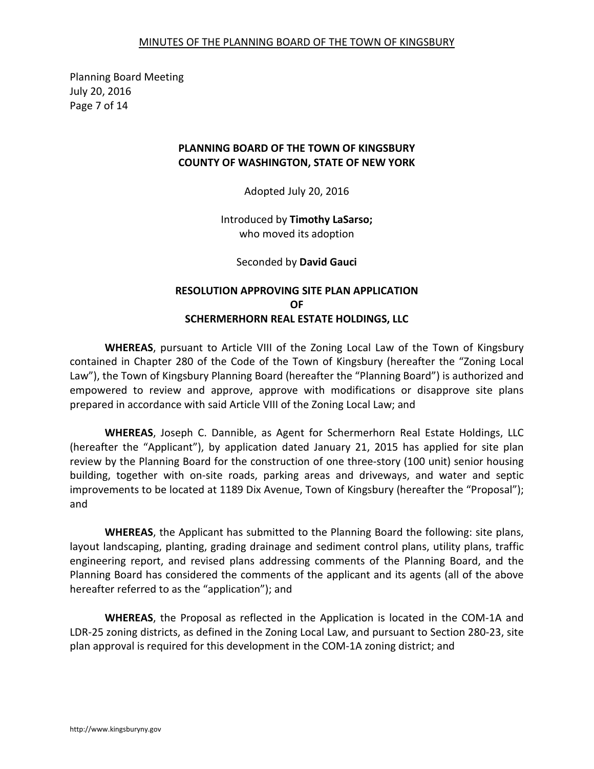Planning Board Meeting July 20, 2016 Page 7 of 14

# **PLANNING BOARD OF THE TOWN OF KINGSBURY COUNTY OF WASHINGTON, STATE OF NEW YORK**

Adopted July 20, 2016

Introduced by **Timothy LaSarso;**  who moved its adoption

Seconded by **David Gauci**

# **RESOLUTION APPROVING SITE PLAN APPLICATION OF SCHERMERHORN REAL ESTATE HOLDINGS, LLC**

**WHEREAS**, pursuant to Article VIII of the Zoning Local Law of the Town of Kingsbury contained in Chapter 280 of the Code of the Town of Kingsbury (hereafter the "Zoning Local Law"), the Town of Kingsbury Planning Board (hereafter the "Planning Board") is authorized and empowered to review and approve, approve with modifications or disapprove site plans prepared in accordance with said Article VIII of the Zoning Local Law; and

**WHEREAS**, Joseph C. Dannible, as Agent for Schermerhorn Real Estate Holdings, LLC (hereafter the "Applicant"), by application dated January 21, 2015 has applied for site plan review by the Planning Board for the construction of one three-story (100 unit) senior housing building, together with on-site roads, parking areas and driveways, and water and septic improvements to be located at 1189 Dix Avenue, Town of Kingsbury (hereafter the "Proposal"); and

**WHEREAS**, the Applicant has submitted to the Planning Board the following: site plans, layout landscaping, planting, grading drainage and sediment control plans, utility plans, traffic engineering report, and revised plans addressing comments of the Planning Board, and the Planning Board has considered the comments of the applicant and its agents (all of the above hereafter referred to as the "application"); and

**WHEREAS**, the Proposal as reflected in the Application is located in the COM-1A and LDR-25 zoning districts, as defined in the Zoning Local Law, and pursuant to Section 280-23, site plan approval is required for this development in the COM-1A zoning district; and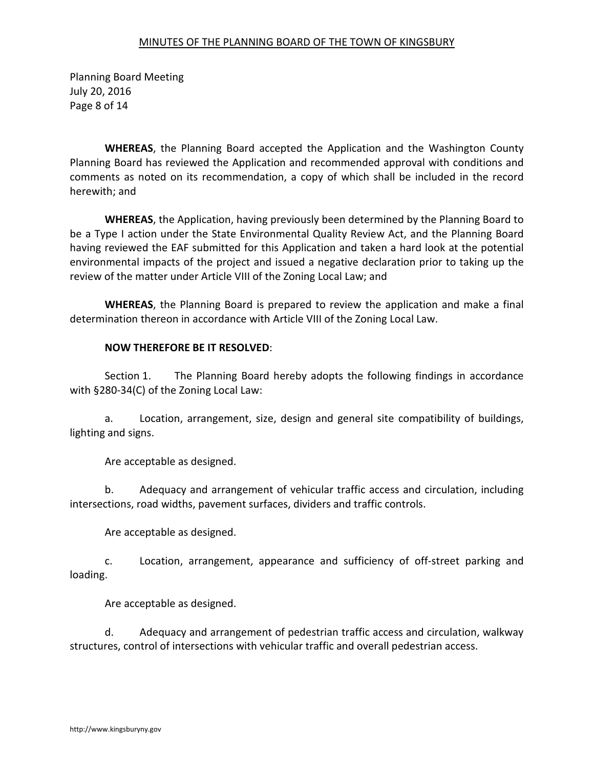Planning Board Meeting July 20, 2016 Page 8 of 14

**WHEREAS**, the Planning Board accepted the Application and the Washington County Planning Board has reviewed the Application and recommended approval with conditions and comments as noted on its recommendation, a copy of which shall be included in the record herewith; and

**WHEREAS**, the Application, having previously been determined by the Planning Board to be a Type I action under the State Environmental Quality Review Act, and the Planning Board having reviewed the EAF submitted for this Application and taken a hard look at the potential environmental impacts of the project and issued a negative declaration prior to taking up the review of the matter under Article VIII of the Zoning Local Law; and

**WHEREAS**, the Planning Board is prepared to review the application and make a final determination thereon in accordance with Article VIII of the Zoning Local Law.

# **NOW THEREFORE BE IT RESOLVED**:

 Section 1. The Planning Board hereby adopts the following findings in accordance with §280-34(C) of the Zoning Local Law:

 a. Location, arrangement, size, design and general site compatibility of buildings, lighting and signs.

Are acceptable as designed.

 b. Adequacy and arrangement of vehicular traffic access and circulation, including intersections, road widths, pavement surfaces, dividers and traffic controls.

Are acceptable as designed.

 c. Location, arrangement, appearance and sufficiency of off-street parking and loading.

Are acceptable as designed.

 d. Adequacy and arrangement of pedestrian traffic access and circulation, walkway structures, control of intersections with vehicular traffic and overall pedestrian access.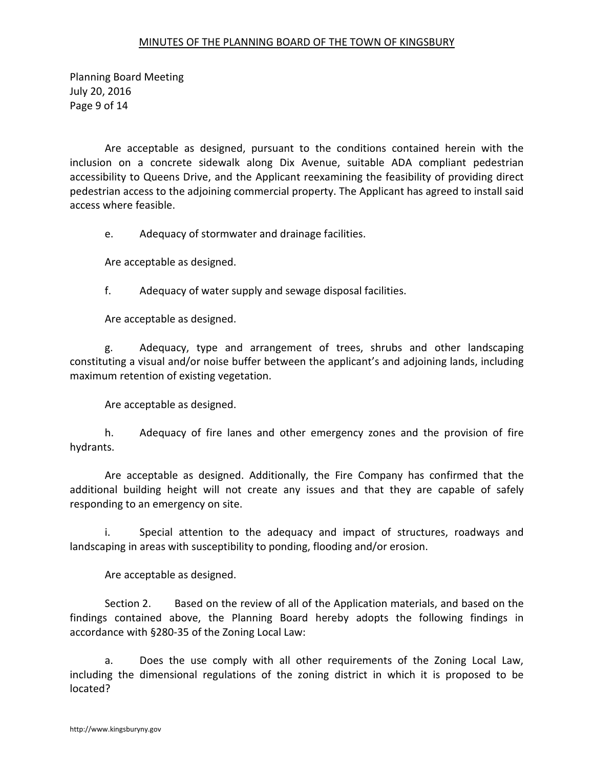Planning Board Meeting July 20, 2016 Page 9 of 14

 Are acceptable as designed, pursuant to the conditions contained herein with the inclusion on a concrete sidewalk along Dix Avenue, suitable ADA compliant pedestrian accessibility to Queens Drive, and the Applicant reexamining the feasibility of providing direct pedestrian access to the adjoining commercial property. The Applicant has agreed to install said access where feasible.

e. Adequacy of stormwater and drainage facilities.

Are acceptable as designed.

f. Adequacy of water supply and sewage disposal facilities.

Are acceptable as designed.

 g. Adequacy, type and arrangement of trees, shrubs and other landscaping constituting a visual and/or noise buffer between the applicant's and adjoining lands, including maximum retention of existing vegetation.

Are acceptable as designed.

 h. Adequacy of fire lanes and other emergency zones and the provision of fire hydrants.

 Are acceptable as designed. Additionally, the Fire Company has confirmed that the additional building height will not create any issues and that they are capable of safely responding to an emergency on site.

 i. Special attention to the adequacy and impact of structures, roadways and landscaping in areas with susceptibility to ponding, flooding and/or erosion.

Are acceptable as designed.

 Section 2. Based on the review of all of the Application materials, and based on the findings contained above, the Planning Board hereby adopts the following findings in accordance with §280-35 of the Zoning Local Law:

 a. Does the use comply with all other requirements of the Zoning Local Law, including the dimensional regulations of the zoning district in which it is proposed to be located?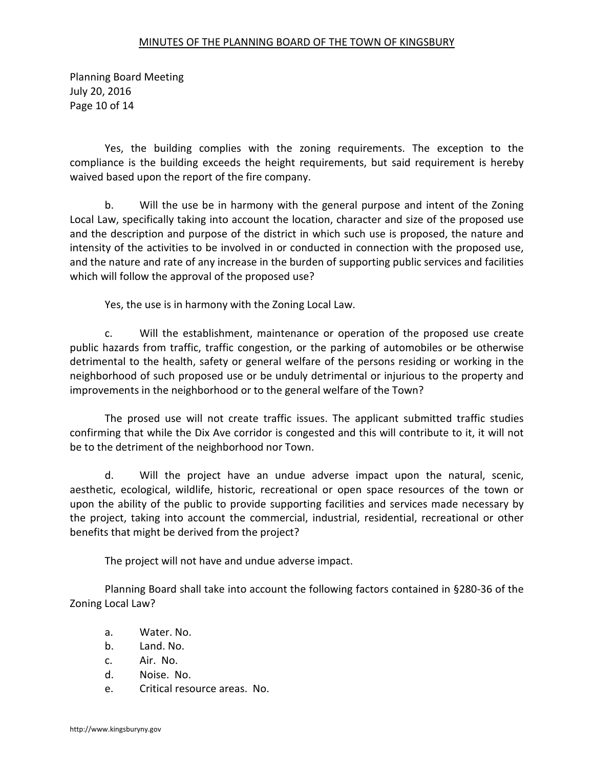Planning Board Meeting July 20, 2016 Page 10 of 14

 Yes, the building complies with the zoning requirements. The exception to the compliance is the building exceeds the height requirements, but said requirement is hereby waived based upon the report of the fire company.

 b. Will the use be in harmony with the general purpose and intent of the Zoning Local Law, specifically taking into account the location, character and size of the proposed use and the description and purpose of the district in which such use is proposed, the nature and intensity of the activities to be involved in or conducted in connection with the proposed use, and the nature and rate of any increase in the burden of supporting public services and facilities which will follow the approval of the proposed use?

Yes, the use is in harmony with the Zoning Local Law.

 c. Will the establishment, maintenance or operation of the proposed use create public hazards from traffic, traffic congestion, or the parking of automobiles or be otherwise detrimental to the health, safety or general welfare of the persons residing or working in the neighborhood of such proposed use or be unduly detrimental or injurious to the property and improvements in the neighborhood or to the general welfare of the Town?

 The prosed use will not create traffic issues. The applicant submitted traffic studies confirming that while the Dix Ave corridor is congested and this will contribute to it, it will not be to the detriment of the neighborhood nor Town.

 d. Will the project have an undue adverse impact upon the natural, scenic, aesthetic, ecological, wildlife, historic, recreational or open space resources of the town or upon the ability of the public to provide supporting facilities and services made necessary by the project, taking into account the commercial, industrial, residential, recreational or other benefits that might be derived from the project?

The project will not have and undue adverse impact.

 Planning Board shall take into account the following factors contained in §280-36 of the Zoning Local Law?

- a. Water. No.
- b. Land. No.
- c. Air. No.
- d. Noise. No.
- e. Critical resource areas. No.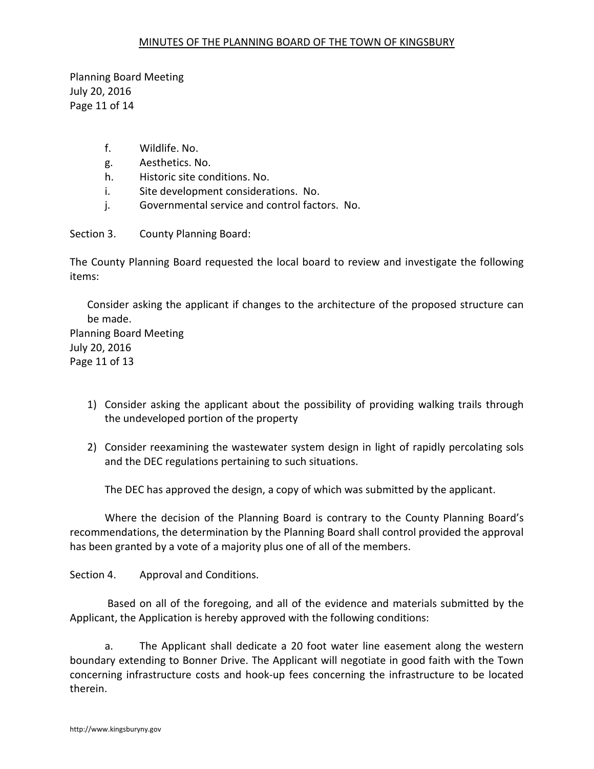Planning Board Meeting July 20, 2016 Page 11 of 14

- f. Wildlife. No.
- g. Aesthetics. No.
- h. Historic site conditions. No.
- i. Site development considerations. No.
- j. Governmental service and control factors. No.

Section 3. County Planning Board:

The County Planning Board requested the local board to review and investigate the following items:

Consider asking the applicant if changes to the architecture of the proposed structure can be made. Planning Board Meeting

July 20, 2016 Page 11 of 13

- 1) Consider asking the applicant about the possibility of providing walking trails through the undeveloped portion of the property
- 2) Consider reexamining the wastewater system design in light of rapidly percolating sols and the DEC regulations pertaining to such situations.

The DEC has approved the design, a copy of which was submitted by the applicant.

 Where the decision of the Planning Board is contrary to the County Planning Board's recommendations, the determination by the Planning Board shall control provided the approval has been granted by a vote of a majority plus one of all of the members.

Section 4. Approval and Conditions.

 Based on all of the foregoing, and all of the evidence and materials submitted by the Applicant, the Application is hereby approved with the following conditions:

a. The Applicant shall dedicate a 20 foot water line easement along the western boundary extending to Bonner Drive. The Applicant will negotiate in good faith with the Town concerning infrastructure costs and hook-up fees concerning the infrastructure to be located therein.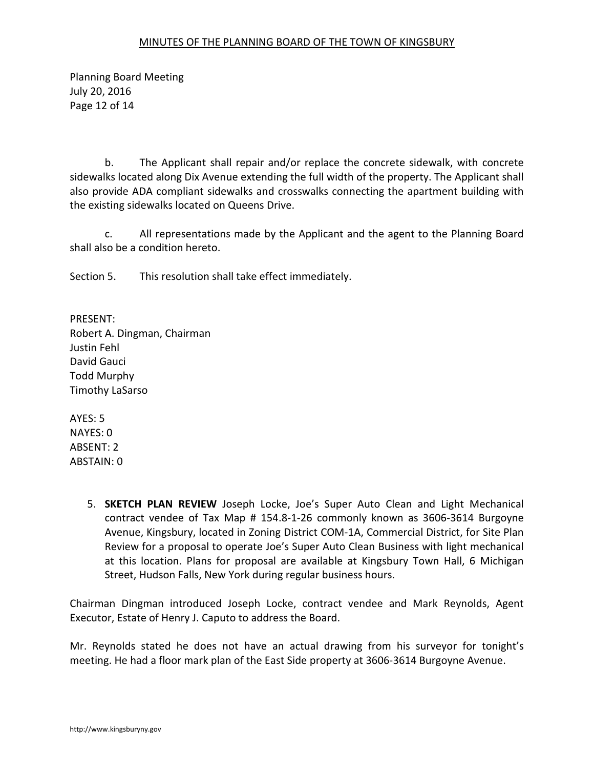Planning Board Meeting July 20, 2016 Page 12 of 14

 b. The Applicant shall repair and/or replace the concrete sidewalk, with concrete sidewalks located along Dix Avenue extending the full width of the property. The Applicant shall also provide ADA compliant sidewalks and crosswalks connecting the apartment building with the existing sidewalks located on Queens Drive.

 c. All representations made by the Applicant and the agent to the Planning Board shall also be a condition hereto.

Section 5. This resolution shall take effect immediately.

PRESENT: Robert A. Dingman, Chairman Justin Fehl David Gauci Todd Murphy Timothy LaSarso

AYES: 5 NAYES: 0 ABSENT: 2 ABSTAIN: 0

> 5. **SKETCH PLAN REVIEW** Joseph Locke, Joe's Super Auto Clean and Light Mechanical contract vendee of Tax Map # 154.8-1-26 commonly known as 3606-3614 Burgoyne Avenue, Kingsbury, located in Zoning District COM-1A, Commercial District, for Site Plan Review for a proposal to operate Joe's Super Auto Clean Business with light mechanical at this location. Plans for proposal are available at Kingsbury Town Hall, 6 Michigan Street, Hudson Falls, New York during regular business hours.

Chairman Dingman introduced Joseph Locke, contract vendee and Mark Reynolds, Agent Executor, Estate of Henry J. Caputo to address the Board.

Mr. Reynolds stated he does not have an actual drawing from his surveyor for tonight's meeting. He had a floor mark plan of the East Side property at 3606-3614 Burgoyne Avenue.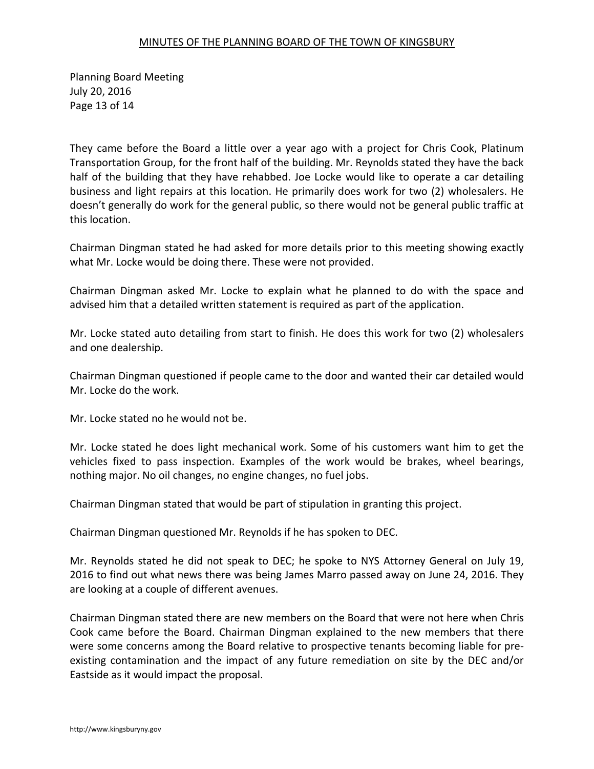Planning Board Meeting July 20, 2016 Page 13 of 14

They came before the Board a little over a year ago with a project for Chris Cook, Platinum Transportation Group, for the front half of the building. Mr. Reynolds stated they have the back half of the building that they have rehabbed. Joe Locke would like to operate a car detailing business and light repairs at this location. He primarily does work for two (2) wholesalers. He doesn't generally do work for the general public, so there would not be general public traffic at this location.

Chairman Dingman stated he had asked for more details prior to this meeting showing exactly what Mr. Locke would be doing there. These were not provided.

Chairman Dingman asked Mr. Locke to explain what he planned to do with the space and advised him that a detailed written statement is required as part of the application.

Mr. Locke stated auto detailing from start to finish. He does this work for two (2) wholesalers and one dealership.

Chairman Dingman questioned if people came to the door and wanted their car detailed would Mr. Locke do the work.

Mr. Locke stated no he would not be.

Mr. Locke stated he does light mechanical work. Some of his customers want him to get the vehicles fixed to pass inspection. Examples of the work would be brakes, wheel bearings, nothing major. No oil changes, no engine changes, no fuel jobs.

Chairman Dingman stated that would be part of stipulation in granting this project.

Chairman Dingman questioned Mr. Reynolds if he has spoken to DEC.

Mr. Reynolds stated he did not speak to DEC; he spoke to NYS Attorney General on July 19, 2016 to find out what news there was being James Marro passed away on June 24, 2016. They are looking at a couple of different avenues.

Chairman Dingman stated there are new members on the Board that were not here when Chris Cook came before the Board. Chairman Dingman explained to the new members that there were some concerns among the Board relative to prospective tenants becoming liable for preexisting contamination and the impact of any future remediation on site by the DEC and/or Eastside as it would impact the proposal.